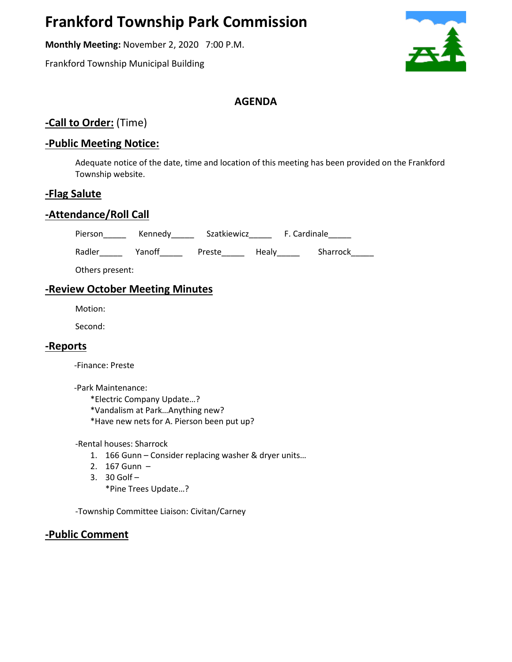# **Frankford Township Park Commission**

**Monthly Meeting:** November 2, 2020 7:00 P.M.

Frankford Township Municipal Building



## **AGENDA**

## **-Call to Order:** (Time)

## **-Public Meeting Notice:**

Adequate notice of the date, time and location of this meeting has been provided on the Frankford Township website.

#### **-Flag Salute**

## **-Attendance/Roll Call**

Pierson\_\_\_\_\_\_ Kennedy\_\_\_\_\_\_ Szatkiewicz\_\_\_\_\_\_ F. Cardinale\_\_\_\_\_

Radler\_\_\_\_\_\_ Yanoff\_\_\_\_\_\_ Preste\_\_\_\_\_\_ Healy\_\_\_\_\_\_ Sharrock\_\_\_\_\_

Others present:

## **-Review October Meeting Minutes**

Motion:

Second:

#### **-Reports**

-Finance: Preste

-Park Maintenance:

\*Electric Company Update…?

\*Vandalism at Park…Anything new?

\*Have new nets for A. Pierson been put up?

-Rental houses: Sharrock

- 1. 166 Gunn Consider replacing washer & dryer units...
- 2. 167 Gunn –
- 3. 30 Golf –

\*Pine Trees Update…?

-Township Committee Liaison: Civitan/Carney

## **-Public Comment**